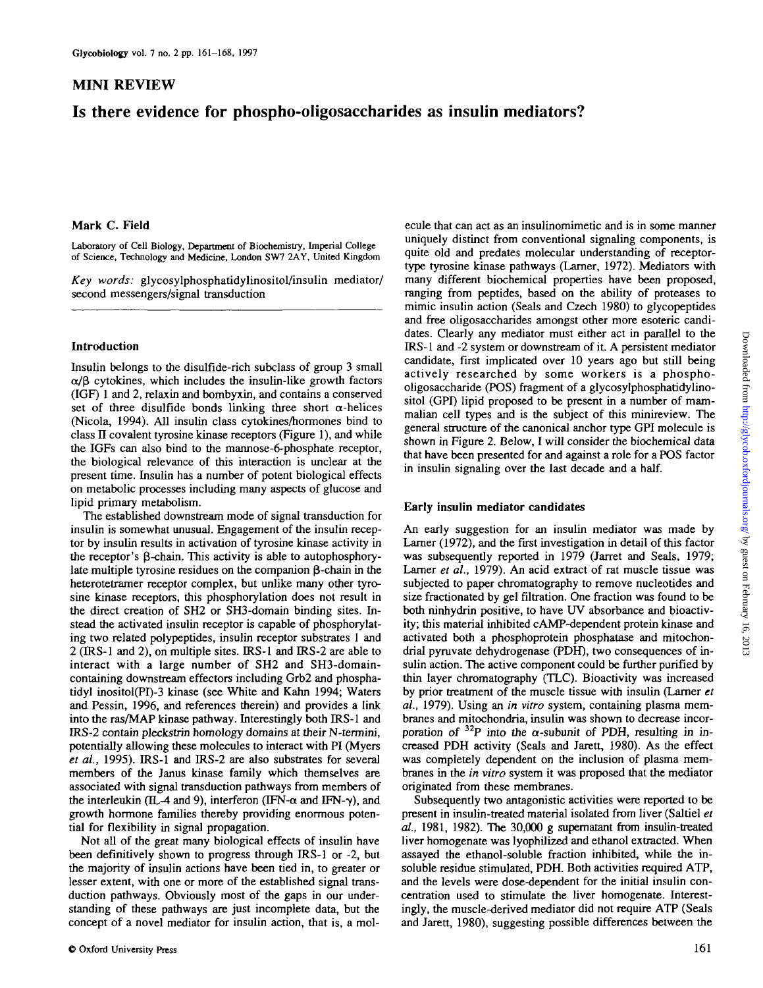# MINI REVIEW

# Is there evidence for phospho-oligosaccharides as insulin mediators?

## **Mark C. Field**

Laboratory of Cell Biology, Department of Biochemistry, Imperial College of Science, Technology and Medicine, London SW7 2AY, United Kingdom

*Key words:* glycosylphosphatidylinositol/insulin mediator/ second messengers/signal transduction

## **Introduction**

Insulin belongs to the disulfide-rich subclass of group 3 small  $\alpha/\beta$  cytokines, which includes the insulin-like growth factors (IGF) 1 and 2, relaxin and bombyxin, and contains a conserved set of three disulfide bonds linking three short  $\alpha$ -helices (Nicola, 1994). All insulin class cytokines/hormones bind to class  $\Pi$  covalent tyrosine kinase receptors (Figure 1), and while the IGFs can also bind to the mannose-6-phosphate receptor, the biological relevance of this interaction is unclear at the present time. Insulin has a number of potent biological effects on metabolic processes including many aspects of glucose and lipid primary metabolism.

The established downstream mode of signal transduction for insulin is somewhat unusual. Engagement of the insulin receptor by insulin results in activation of tyrosine kinase activity in the receptor's  $\beta$ -chain. This activity is able to autophosphorylate multiple tyrosine residues on the companion  $\beta$ -chain in the heterotetramer receptor complex, but unlike many other tyrosine kinase receptors, this phosphorylation does not result in the direct creation of SH2 or SH3-domain binding sites. Instead the activated insulin receptor is capable of phosphorylating two related polypeptides, insulin receptor substrates 1 and 2 (IRS-1 and 2), on multiple sites. IRS-1 and IRS-2 are able to interact with a large number of SH2 and SH3-domaincontaining downstream effectors including Grb2 and phosphatidyl inositol(PI)-3 kinase (see White and Kahn 1994; Waters and Pessin, 1996, and references therein) and provides a link into the ras/MAP kinase pathway. Interestingly both IRS-1 and IRS-2 contain pleckstrin homology domains at their N-termini, potentially allowing these molecules to interact with PI (Myers *et al,* 1995). IRS-1 and IRS-2 are also substrates for several members of the Janus kinase family which themselves are associated with signal transduction pathways from members of the interleukin (IL-4 and 9), interferon (IFN- $\alpha$  and IFN- $\gamma$ ), and growth hormone families thereby providing enormous potential for flexibility in signal propagation.

Not all of the great many biological effects of insulin have been definitively shown to progress through IRS-1 or -2, but the majority of insulin actions have been tied in, to greater or lesser extent, with one or more of the established signal transduction pathways. Obviously most of the gaps in our understanding of these pathways are just incomplete data, but the concept of a novel mediator for insulin action, that is, a mol-

ecule that can act as an insulinomimetic and is in some manner uniquely distinct from conventional signaling components, is quite old and predates molecular understanding of receptortype tyrosine kinase pathways (Lamer, 1972). Mediators with many different biochemical properties have been proposed, ranging from peptides, based on the ability of proteases to mimic insulin action (Seals and Czech 1980) to glycopeptides and free oligosaccharides amongst other more esoteric candidates. Clearly any mediator must either act in parallel to the IRS-1 and -2 system or downstream of it. A persistent mediator candidate, first implicated over 10 years ago but still being actively researched by some workers is a phosphooligosaccharide (POS) fragment of a glycosylphosphatidylinositol (GPI) lipid proposed to be present in a number of mammalian cell types and is the subject of this minireview. The general structure of the canonical anchor type GPI molecule is shown in Figure 2. Below, I will consider the biochemical data that have been presented for and against a role for a POS factor in insulin signaling over the last decade and a half.

#### **Early insulin mediator candidates**

An early suggestion for an insulin mediator was made by Lamer (1972), and die first investigation in detail of this factor was subsequently reported in 1979 (Jarret and Seals, 1979; Lamer *et al.,* 1979). An acid extract of rat muscle tissue was subjected to paper chromatography to remove nucleotides and size fractionated by gel filtration. One fraction was found to be both ninhydrin positive, to have UV absorbance and bioactivity; this material inhibited cAMP-dependent protein kinase and activated both a phosphoprotein phosphatase and mitochondrial pyruvate dehydrogenase (PDH), two consequences of insulin action. The active component could be further purified by thin layer chromatography (TLC). Bioactivity was increased by prior treatment of die muscle tissue with insulin (Lamer *et al.,* 1979). Using an *in vitro* system, containing plasma membranes and mitochondria, insulin was shown to decrease incorporation of  $32P$  into the  $\alpha$ -subunit of PDH, resulting in increased PDH activity (Seals and Jarett, 1980). As the effect was completely dependent on the inclusion of plasma membranes in the *in vitro* system it was proposed that the mediator originated from these membranes.

Subsequently two antagonistic activities were reported to be present in insulin-treated material isolated from liver (Saltiel *et al.,* 1981, 1982). The 30,000 g supernatant from insulin-treated liver homogenate was lyophilized and ethanol extracted. When assayed the ethanol-soluble fraction inhibited, while the insoluble residue stimulated, PDH. Both activities required ATP, and the levels were dose-dependent for the initial insulin concentration used to stimulate the liver homogenate. Interestingly, the muscle-derived mediator did not require ATP (Seals and Jarett, 1980), suggesting possible differences between the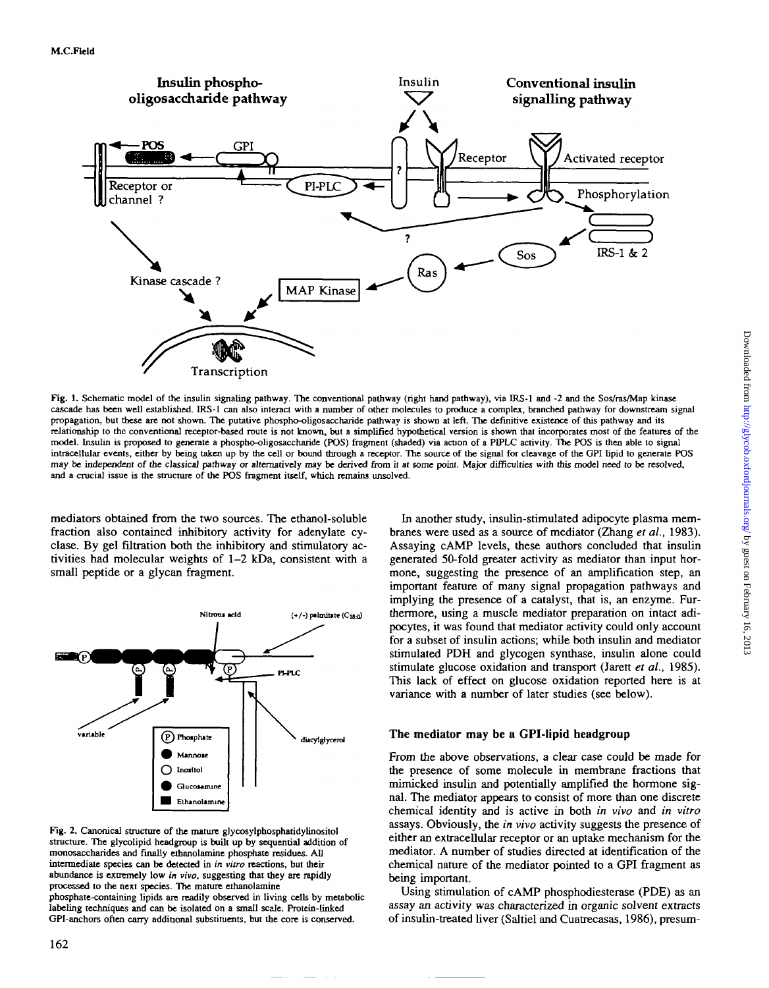

Fig. 1. Schematic model of the insulin signaling pathway. The conventional pathway (right hand pathway), via IRS-1 and -2 and the Sos/ras/Map kinase cascade has been well established. IRS-1 can also interact with a number of other molecules to produce a complex, branched pathway for downstream signal propagation, but these are not shown. The putative phospho-oligosaccharide pathway is shown at left. The definitive existence of this pathway and its relationship to the conventional receptor-based route is not known, but a simplified hypothetical version is shown that incorporates most of the features of the model. Insulin is proposed to generate a phospho-oligosaccharide (POS) fragment (shaded) via action of a PIPLC activity. The POS is then able to signal intracellular events, either by being taken up by the cell or bound through a receptor. The source of the signal for cleavage of the GPI lipid to generate POS may be independent of the classical pathway or alternatively may be derived from it at some point. Major difficulties with this model need to be resolved, and a crucial issue is the structure of the POS fragment itself, which remains unsolved.

mediators obtained from the two sources. The ethanol-soluble fraction also contained inhibitory activity for adenylate cyclase. By gel filtration both the inhibitory and stimulatory activities had molecular weights of 1-2 kDa, consistent with a small peptide or a glycan fragment.



Fig. 2. Canonical structure of the mature glycosylphosphatidylinositol structure. The glycolipid headgroup is built up by sequential addition of monosaccharides and finally ethanolamine phosphate residues. All intermediate species can be detected in *in vitro* reactions, but their abundance is extremely low in vivo, suggesting that they are rapidly processed to the next species. The mature ethanolamine phosphate-containing lipids are readily observed in living cells by metabolic labeling techniques and can be isolated on a small scale. Protein-linked GPI-anchors often carry additional substituents, but the core is conserved

thermore, using a muscle mediator preparation on intact adipocytes, it was found that mediator activity could only account for a subset of insulin actions; while both insulin and mediator stimulated PDH and glycogen synthase, insulin alone could stimulate glucose oxidation and transport (Jarett *et al.,* 1985). This lack of effect on glucose oxidation reported here is at variance with a number of later studies (see below). **The mediator may be a GPI-lipid headgroup** From the above observations, a clear case could be made for

the presence of some molecule in membrane fractions that mimicked insulin and potentially amplified the hormone signal. The mediator appears to consist of more than one discrete chemical identity and is active in both *in vivo* and *in vitro* assays. Obviously, the *in vivo* activity suggests the presence of either an extracellular receptor or an uptake mechanism for the mediator. A number of studies directed at identification of the chemical nature of the mediator pointed to a GPI fragment as being important.

In another study, insulin-stimulated adipocyte plasma membranes were used as a source of mediator (Zhang *et al.,* 1983). Assaying cAMP levels, these authors concluded that insulin generated 50-fold greater activity as mediator than input hormone, suggesting the presence of an amplification step, an important feature of many signal propagation pathways and implying the presence of a catalyst, that is, an enzyme. Fur-

Using stimulation of cAMP phosphodiesterase (PDE) as an assay an activity was characterized in organic solvent extracts of insulin-treated liver (Saltiel and Cuatrecasas, 1986), presum-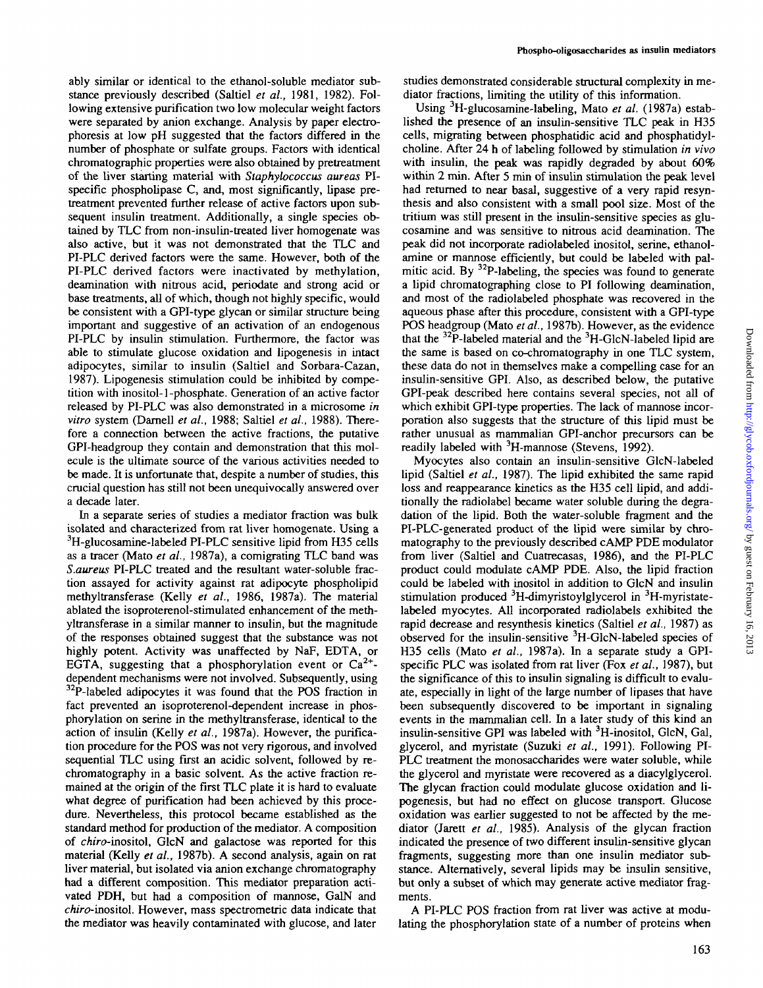ably similar or identical to the ethanol-soluble mediator substance previously described (Saltiel *et al,* 1981, 1982). Following extensive purification two low molecular weight factors were separated by anion exchange. Analysis by paper electrophoresis at low pH suggested that the factors differed in the number of phosphate or sulfate groups. Factors with identical chromatographic properties were also obtained by pretreatment of the liver starting material with *Staphylococcus aureas* PIspecific phospholipase C, and, most significantly, lipase pretreatment prevented further release of active factors upon subsequent insulin treatment. Additionally, a single species obtained by TLC from non-insulin-treated liver homogenate was also active, but it was not demonstrated that the TLC and PI-PLC derived factors were the same. However, both of the PI-PLC derived factors were inactivated by methylation, deamination with nitrous acid, periodate and strong acid or base treatments, all of which, though not highly specific, would be consistent with a GPI-type glycan or similar structure being important and suggestive of an activation of an endogenous PI-PLC by insulin stimulation. Furthermore, the factor was able to stimulate glucose oxidation and lipogenesis in intact adipocytes, similar to insulin (Saltiel and Sorbara-Cazan, 1987). Lipogenesis stimulation could be inhibited by competition with inositol-1-phosphate. Generation of an active factor released by PI-PLC was also demonstrated in a microsome *in vitro* system (Darnell *et al,* 1988; Saltiel *et al,* 1988). Therefore a connection between the active fractions, the putative GPI-headgroup they contain and demonstration that this molecule is the ultimate source of the various activities needed to be made. It is unfortunate that, despite a number of studies, this crucial question has still not been unequivocally answered over a decade later.

In a separate series of studies a mediator fraction was bulk isolated and characterized from rat liver homogenate. Using a <sup>3</sup>H-glucosamine-labeled PI-PLC sensitive lipid from H35 cells as a tracer (Mato *et al.,* 1987a), a comigrating TLC band was *S.aureus* PI-PLC treated and the resultant water-soluble fraction assayed for activity against rat adipocyte phospholipid methyltransferase (Kelly *et al,* 1986, 1987a). The material ablated the isoproterenol-stimulated enhancement of the methyltransferase in a similar manner to insulin, but the magnitude of the responses obtained suggest that the substance was not highly potent. Activity was unaffected by NaF, EDTA, or EGTA, suggesting that a phosphorylation event or  $Ca^{2+}$ dependent mechanisms were not involved. Subsequently, using  $32\text{P}-$ labeled adipocytes it was found that the POS fraction in fact prevented an isoproterenol-dependent increase in phosphorylation on serine in the methyltransferase, identical to the action of insulin (Kelly *et al.,* 1987a). However, the purification procedure for the POS was not very rigorous, and involved sequential TLC using first an acidic solvent, followed by rechromatography in a basic solvent. As the active fraction remained at the origin of the first TLC plate it is hard to evaluate what degree of purification had been achieved by this procedure. Nevertheless, this protocol became established as the standard method for production of the mediator. A composition of chiro-inositol, GlcN and galactose was reported for this material (Kelly *et al.,* 1987b). A second analysis, again on rat liver material, but isolated via anion exchange chromatography had a different composition. This mediator preparation activated PDH, but had a composition of mannose, GalN and chiro-inositol. However, mass spectrometric data indicate that the mediator was heavily contaminated with glucose, and later

studies demonstrated considerable structural complexity in mediator fractions, limiting the utility of this information.

Using <sup>3</sup>H-glucosamine-labeling, Mato *et al.* (1987a) established the presence of an insulin-sensitive TLC peak in H35 cells, migrating between phosphatidic acid and phosphatidylcholine. After 24 h of labeling followed by stimulation *in vivo* with insulin, the peak was rapidly degraded by about 60% within 2 min. After 5 min of insulin stimulation the peak level had returned to near basal, suggestive of a very rapid resynthesis and also consistent with a small pool size. Most of the tritium was still present in the insulin-sensitive species as glucosamine and was sensitive to nitrous acid deamination. The peak did not incorporate radiolabeled inositol, serine, ethanolamine or mannose efficiently, but could be labeled with palmitic acid. By <sup>32</sup>P-labeling, the species was found to generate a lipid chromatographing close to PI following deamination, and most of the radiolabeled phosphate was recovered in the aqueous phase after this procedure, consistent with a GPI-type POS headgroup (Mato *et al.,* 1987b). However, as the evidence that the <sup>32</sup>P-labeled material and the <sup>3</sup>H-GlcN-labeled lipid are the same is based on co-chromatography in one TLC system, these data do not in themselves make a compelling case for an insulin-sensitive GPL Also, as described below, the putative GPI-peak described here contains several species, not all of which exhibit GPI-type properties. The lack of mannose incorporation also suggests that the structure of this lipid must be rather unusual as mammalian GPI-anchor precursors can be readily labeled with <sup>3</sup>H-mannose (Stevens, 1992).

Myocytes also contain an insulin-sensitive GlcN-labeled lipid (Saltiel *et al.,* 1987). The lipid exhibited the same rapid loss and reappearance kinetics as the H35 cell lipid, and additionally the radiolabel became water soluble during the degradation of the lipid. Both the water-soluble fragment and the PI-PLC-generated product of the lipid were similar by chromatography to the previously described cAMP PDE modulator from liver (Saltiel and Cuatrecasas, 1986), and the PI-PLC product could modulate cAMP PDE. Also, the lipid fraction could be labeled with inositol in addition to GlcN and insulin stimulation produced <sup>3</sup>H-dimyristoylglycerol in <sup>3</sup>H-myristatelabeled myocytes. All incorporated radiolabels exhibited the rapid decrease and resynthesis kinetics (Saltiel *et al.,* 1987) as observed for the insulin-sensitive <sup>3</sup>H-GlcN-labeled species of H35 cells (Mato *et al.,* 1987a). In a separate study a GPIspecific PLC was isolated from rat liver (Fox *et al.,* 1987), but the significance of this to insulin signaling is difficult to evaluate, especially in light of the large number of lipases that have been subsequently discovered to be important in signaling events in the mammalian cell. In a later study of this kind an insulin-sensitive GPI was labeled with <sup>3</sup>H-inositol, GlcN, Gal, glycerol, and myristate (Suzuki *et al.,* 1991). Following PI-PLC treatment the monosaccharides were water soluble, while the glycerol and myristate were recovered as a diacylglycerol. The glycan fraction could modulate glucose oxidation and lipogenesis, but had no effect on glucose transport Glucose oxidation was earlier suggested to not be affected by the mediator (Jarett *et al,* 1985). Analysis of the glycan fraction indicated the presence of two different insulin-sensitive glycan fragments, suggesting more than one insulin mediator substance. Alternatively, several lipids may be insulin sensitive, but only a subset of which may generate active mediator fragments.

A PI-PLC POS fraction from rat liver was active at modulating the phosphorylation state of a number of proteins when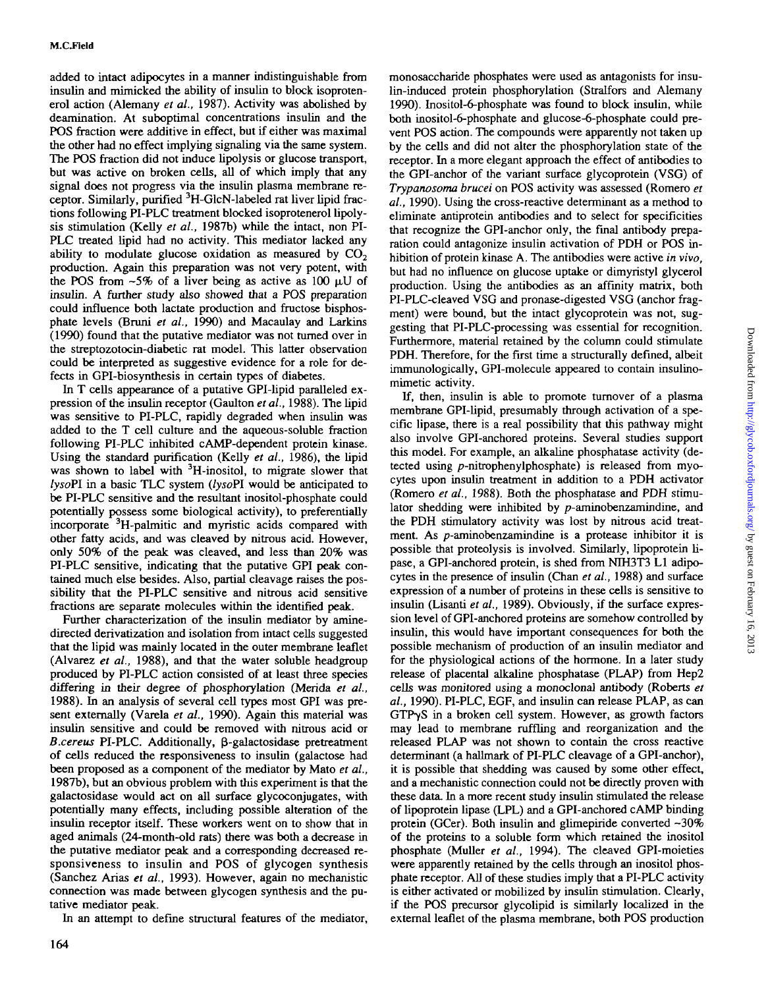added to intact adipocytes in a manner indistinguishable from insulin and mimicked the ability of insulin to block isoprotenerol action (Alemany *et al.,* 1987). Activity was abolished by deamination. At suboptimal concentrations insulin and the POS fraction were additive in effect, but if either was maximal the other had no effect implying signaling via the same system. The POS fraction did not induce lipolysis or glucose transport, but was active on broken cells, all of which imply that any signal does not progress via the insulin plasma membrane receptor. Similarly, purified <sup>3</sup>H-GlcN-labeled rat liver lipid fractions following PI-PLC treatment blocked isoprotenerol lipolysis stimulation (Kelly *et al.,* 1987b) while the intact, non PI-PLC treated lipid had no activity. This mediator lacked any ability to modulate glucose oxidation as measured by  $CO<sub>2</sub>$ production. Again this preparation was not very potent, with the POS from  $-5\%$  of a liver being as active as 100  $\mu$ U of insulin. A further study also showed that a POS preparation could influence both lactate production and fructose bisphosphate levels (Bruni *et al.,* 1990) and Macaulay and Larkins (1990) found that the putative mediator was not turned over in the streptozotocin-diabetic rat model. This latter observation could be interpreted as suggestive evidence for a role for defects in GPI-biosynthesis in certain types of diabetes.

In T cells appearance of a putative GPI-lipid paralleled expression of the insulin receptor (Gaulton *et al.,* 1988). The lipid was sensitive to PI-PLC, rapidly degraded when insulin was added to the T cell culture and the aqueous-soluble fraction following PI-PLC inhibited cAMP-dependent protein kinase. Using the standard purification (Kelly *et al.,* 1986), the lipid was shown to label with <sup>3</sup>H-inositol, to migrate slower that *lysoPl* in a basic TLC system *(lysoPI* would be anticipated to be PI-PLC sensitive and the resultant inositol-phosphate could potentially possess some biological activity), to preferentially incorporate <sup>3</sup>H-palmitic and myristic acids compared with other fatty acids, and was cleaved by nitrous acid. However, only 50% of the peak was cleaved, and less than 20% was PI-PLC sensitive, indicating that the putative GPI peak contained much else besides. Also, partial cleavage raises the possibility that the PI-PLC sensitive and nitrous acid sensitive fractions are separate molecules within the identified peak.

Further characterization of the insulin mediator by aminedirected derivatization and isolation from intact cells suggested that the lipid was mainly located in the outer membrane leaflet (Alvarez *et al.,* 1988), and that the water soluble headgroup produced by PI-PLC action consisted of at least three species differing in their degree of phosphorylation (Merida *et al.,* 1988). In an analysis of several cell types most GPI was present externally (Varela *et al.,* 1990). Again this material was insulin sensitive and could be removed with nitrous acid OT B.cereus PI-PLC. Additionally, **B-galactosidase** pretreatment of cells reduced the responsiveness to insulin (galactose had been proposed as a component of the mediator by Mato *et al.,* 1987b), but an obvious problem with this experiment is that the galactosidase would act on all surface glycoconjugates, with potentially many effects, including possible alteration of the insulin receptor itself. These workers went on to show that in aged animals (24-month-old rats) there was both a decrease in the putative mediator peak and a corresponding decreased responsiveness to insulin and POS of glycogen synthesis (Sanchez Arias *et al.,* 1993). However, again no mechanistic connection was made between glycogen synthesis and the putative mediator peak.

In an attempt to define structural features of the mediator,

monosaccharide phosphates were used as antagonists for insulin-induced protein phosphorylation (Stralfors and Alemany 1990). Inositol-6-phosphate was found to block insulin, while both inositol-6-phosphate and glucose-6-phosphate could prevent POS action. The compounds were apparently not taken up by the cells and did not alter the phosphorylation state of the receptor. In a more elegant approach the effect of antibodies to the GPI-anchor of the variant surface glycoprotein (VSG) of *Trypanosoma brucei* on POS activity was assessed (Romero *et al.,* 1990). Using the cross-reactive determinant as a method to eliminate antiprotein antibodies and to select for specificities that recognize the GPI-anchor only, the final antibody preparation could antagonize insulin activation of PDH or POS inhibition of protein kinase A. The antibodies were active *in vivo,* but had no influence on glucose uptake or dimyristyl glycerol production. Using the antibodies as an affinity matrix, both PI-PLC-cleaved VSG and pronase-digested VSG (anchor fragment) were bound, but the intact glycoprotein was not, suggesting that PI-PLC-processing was essential for recognition. Furthermore, material retained by the column could stimulate PDH. Therefore, for the first time a structurally defined, albeit immunologically, GPI-molecule appeared to contain insulinomimetic activity.

If, then, insulin is able to promote turnover of a plasma membrane GPI-lipid, presumably through activation of a specific lipase, there is a real possibility that this pathway might also involve GPI-anchored proteins. Several studies support this model. For example, an alkaline phosphatase activity (detected using p-nitrophenylphosphate) is released from myocytes upon insulin treatment in addition to a PDH activator (Romero *et al.,* 1988). Both the phosphatase and PDH stimulator shedding were inhibited by p-aminobenzamindine, and the PDH stimulatory activity was lost by nitrous acid treatment. As  $p$ -aminobenzamindine is a protease inhibitor it is possible that proteolysis is involved. Similarly, lipoprotein lipase, a GPI-anchored protein, is shed from NTH3T3 LI adipocytes in the presence of insulin (Chan *et al.,* 1988) and surface expression of a number of proteins in these cells is sensitive to insulin (Lisanti *et al.,* 1989). Obviously, if the surface expression level of GPI-anchored proteins are somehow controlled by insulin, this would have important consequences for both the possible mechanism of production of an insulin mediator and for the physiological actions of the hormone. In a later study release of placental alkaline phosphatase (PLAP) from Hep2 cells was monitored using a monoclonal antibody (Roberts *et al.,* 1990). PI-PLC, EGF, and insulin can release PLAP, as can GTPyS in a broken cell system. However, as growth factors may lead to membrane ruffling and reorganization and the released PLAP was not shown to contain the cross reactive determinant (a hallmark of PI-PLC cleavage of a GPI-anchor), it is possible that shedding was caused by some other effect, and a mechanistic connection could not be directly proven with these data. In a more recent study insulin stimulated the release of lipoprotein lipase (LPL) and a GPI-anchored cAMP binding protein (GCer). Both insulin and glimepiride converted  $\sim 30\%$ of the proteins to a soluble form which retained the inositol phosphate (Muller *et al.,* 1994). The cleaved GPI-moieties were apparently retained by the cells through an inositol phosphate receptor. All of these studies imply that a PI-PLC activity is either activated or mobilized by insulin stimulation. Clearly, if the POS precursor glycolipid is similarly localized in the external leaflet of the plasma membrane, both POS production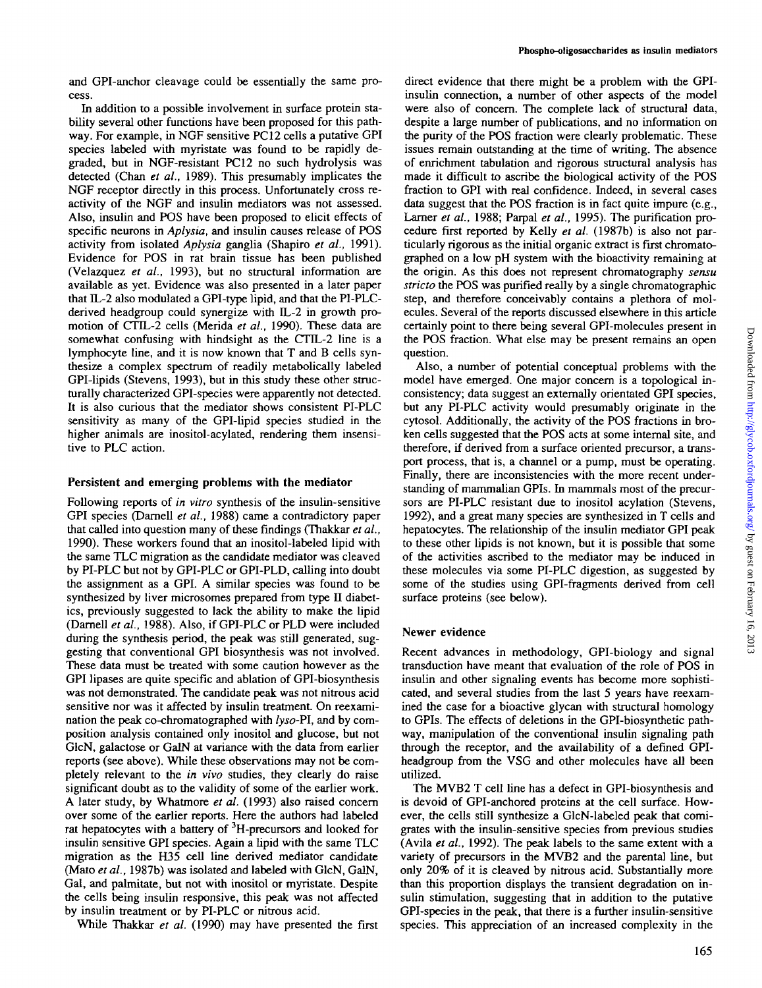In addition to a possible involvement in surface protein stability several other functions have been proposed for this pathway. For example, in NGF sensitive PC 12 cells a putative GPI species labeled with myristate was found to be rapidly degraded, but in NGF-resistant PC 12 no such hydrolysis was detected (Chan *et al.,* 1989). This presumably implicates the NGF receptor directly in this process. Unfortunately cross reactivity of the NGF and insulin mediators was not assessed. Also, insulin and POS have been proposed to elicit effects of specific neurons in *Aplysia,* and insulin causes release of POS activity from isolated *Aplysia* ganglia (Shapiro *et al.,* 1991). Evidence for POS in rat brain tissue has been published (Velazquez *et al.,* 1993), but no structural information are available as yet. Evidence was also presented in a later paper that IL-2 also modulated a GPI-type lipid, and that the PI-PLCderived headgroup could synergize with EL-2 in growth promotion of CTTL-2 cells (Merida *et al.,* 1990). These data are somewhat confusing with hindsight as the CTTL-2 line is a lymphocyte line, and it is now known that T and B cells synthesize a complex spectrum of readily metabolically labeled GPI-lipids (Stevens, 1993), but in this study these other structurally characterized GPI-species were apparently not detected. It is also curious that the mediator shows consistent PI-PLC sensitivity as many of the GPI-lipid species studied in the higher animals are inositol-acylated, rendering them insensitive to PLC action.

## **Persistent and emerging problems with the mediator**

Following reports of *in vitro* synthesis of the insulin-sensitive GPI species (Darnell *et al.,* 1988) came a contradictory paper that called into question many of these findings (Thakkar *et al.,* 1990). These workers found that an inositol-labeled lipid with the same TLC migration as the candidate mediator was cleaved by PI-PLC but not by GPI-PLC or GPI-PLD, calling into doubt the assignment as a GPI. A similar species was found to be synthesized by liver microsomes prepared from type II diabetics, previously suggested to lack the ability to make the lipid (Darnell *et al.,* 1988). Also, if GPI-PLC or PLD were included during the synthesis period, the peak was still generated, suggesting that conventional GPI biosynthesis was not involved. These data must be treated with some caution however as the GPI lipases are quite specific and ablation of GPI-biosynthesis was not demonstrated. The candidate peak was not nitrous acid sensitive nor was it affected by insulin treatment. On reexamination the peak co-chromatographed with *lyso-Pl,* and by composition analysis contained only inositol and glucose, but not GlcN, galactose or GalN at variance with the data from earlier reports (see above). While these observations may not be completely relevant to the *in vivo* studies, they clearly do raise significant doubt as to the validity of some of the earlier work. A later study, by Whatmore *et al.* (1993) also raised concern over some of the earlier reports. Here the authors had labeled rat hepatocytes with a battery of <sup>3</sup>H-precursors and looked for insulin sensitive GPI species. Again a lipid with the same TLC migration as the H35 cell line derived mediator candidate (Mato *et al.,* 1987b) was isolated and labeled with GlcN, GalN, Gal, and palmitate, but not with inositol or myristate. Despite the cells being insulin responsive, this peak was not affected by insulin treatment or by PI-PLC or nitrous acid.

While Thakkar *et al.* (1990) may have presented the first

direct evidence that there might be a problem with the GPIinsulin connection, a number of other aspects of the model were also of concern. The complete lack of structural data, despite a large number of publications, and no information on the purity of the POS fraction were clearly problematic. These issues remain outstanding at the time of writing. The absence of enrichment tabulation and rigorous structural analysis has made it difficult to ascribe the biological activity of the POS fraction to GPI with real confidence. Indeed, in several cases data suggest that the POS fraction is in fact quite impure (e.g., Lamer *et al.,* 1988; Parpal *et al.,* 1995). The purification procedure first reported by Kelly *et al.* (1987b) is also not particularly rigorous as the initial organic extract is first chromatographed on a low pH system with the bioactivity remaining at the origin. As this does not represent chromatography *sensu stricto* the POS was purified really by a single chromatographic step, and therefore conceivably contains a plethora of molecules. Several of the reports discussed elsewhere in this article certainly point to there being several GPI-molecules present in the POS fraction. What else may be present remains an open question.

Also, a number of potential conceptual problems with the model have emerged. One major concern is a topological inconsistency; data suggest an externally orientated GPI species, but any PI-PLC activity would presumably originate in the cytosol. Additionally, the activity of the POS fractions in broken cells suggested that the POS acts at some internal site, and therefore, if derived from a surface oriented precursor, a transport process, that is, a channel or a pump, must be operating. Finally, there are inconsistencies with the more recent understanding of mammalian GPIs. In mammals most of the precursors are PI-PLC resistant due to inositol acylation (Stevens, 1992), and a great many species are synthesized in T cells and hepatocytes. The relationship of the insulin mediator GPI peak to these other lipids is not known, but it is possible that some of the activities ascribed to the mediator may be induced in these molecules via some PI-PLC digestion, as suggested by some of the studies using GPI-fragments derived from cell surface proteins (see below).

## **Newer** evidence

Recent advances in methodology, GPI-biology and signal transduction have meant that evaluation of the role of POS in insulin and other signaling events has become more sophisticated, and several studies from the last 5 years have reexamined the case for a bioactive glycan with structural homology to GPIs. The effects of deletions in the GPI-biosynthetic pathway, manipulation of the conventional insulin signaling path through the receptor, and the availability of a defined GPIheadgroup from the VSG and other molecules have all been utilized.

The MVB2 T cell line has a defect in GPI-biosynthesis and is devoid of GPI-anchored proteins at the cell surface. However, the cells still synthesize a GlcN-labeled peak that comigrates with the insulin-sensitive species from previous studies (Avila *et al.,* 1992). The peak labels to the same extent with a variety of precursors in the MVB2 and the parental line, but only 20% of it is cleaved by nitrous acid. Substantially more than this proportion displays the transient degradation on insulin stimulation, suggesting that in addition to the putative GPI-species in the peak, that there is a further insulin-sensitive species. This appreciation of an increased complexity in the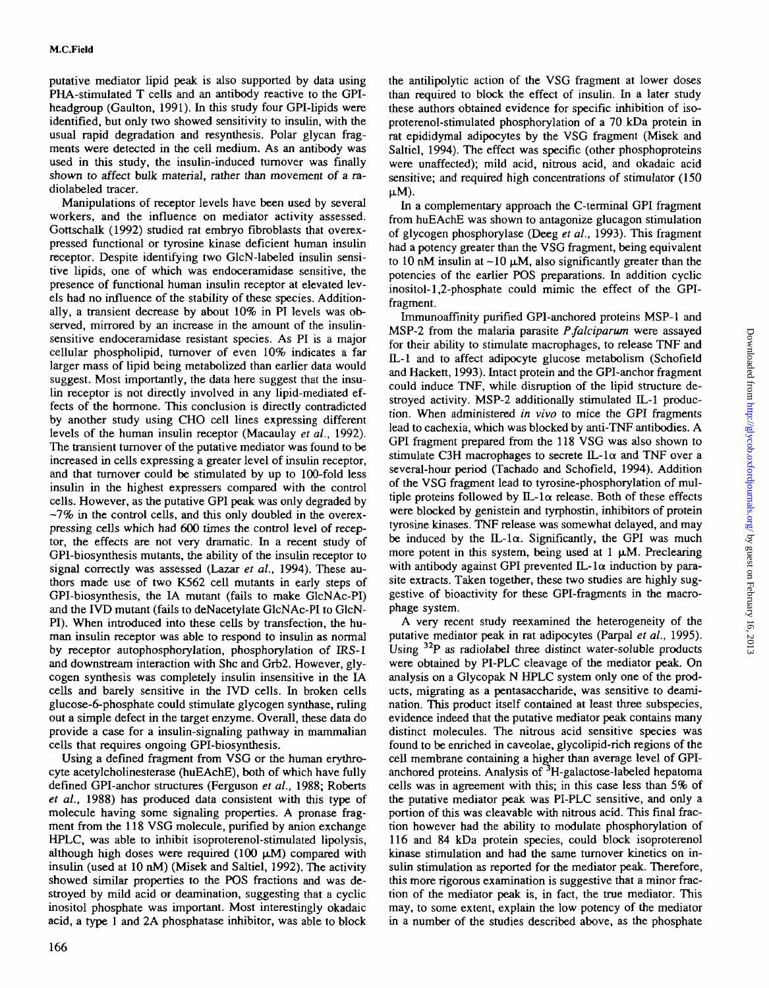putative mediator lipid peak is also supported by data using PHA-stimulated T cells and an antibody reactive to the GPIheadgroup (Gaulton, 1991). In this study four GPI-lipids were identified, but only two showed sensitivity to insulin, with the usual rapid degradation and resynthesis. Polar glycan fragments were detected in the cell medium. As an antibody was used in this study, the insulin-induced turnover was finally shown to affect bulk material, rather than movement of a radiolabeled tracer.

Manipulations of receptor levels have been used by several workers, and the influence on mediator activity assessed. Gottschalk (1992) studied rat embryo fibroblasts that overexpressed functional or tyrosine kinase deficient human insulin receptor. Despite identifying two GlcN-labeled insulin sensitive lipids, one of which was endoceramidase sensitive, the presence of functional human insulin receptor at elevated levels had no influence of the stability of these species. Additionally, a transient decrease by about 10% in PI levels was observed, mirrored by an increase in the amount of the insulinsensitive endoceramidase resistant species. As PI is a major cellular phospholipid, turnover of even 10% indicates a far larger mass of lipid being metabolized than earlier data would suggest. Most importantly, the data here suggest that the insulin receptor is not directly involved in any lipid-mediated effects of the hormone. This conclusion is directly contradicted by another study using CHO cell lines expressing different levels of the human insulin receptor (Macaulay *et al.,* 1992). The transient turnover of the putative mediator was found to be increased in cells expressing a greater level of insulin receptor, and that turnover could be stimulated by up to 100-fold less insulin in the highest expressers compared with the control cells. However, as the putative GPI peak was only degraded by  $-7\%$  in the control cells, and this only doubled in the overexpressing cells which had 600 times the control level of receptor, the effects are not very dramatic. In a recent study of GPI-biosynthesis mutants, the ability of the insulin receptor to signal correctly was assessed (Lazar *et al.,* 1994). These ausignal collectly was assessed (Lazal *et al.*, 1994). These au-<br>thors mode use of two K562 cell mutants in early steps of GPI-biographics of two K502 CCI mutants in early steps of GPI-biosynthesis, the IA mutant (fails to make GlcNAc-PI) and the IVD mutant (fails to deNacetylate GlcNAc-PI to GlcN-PI). When introduced into these cells by transfection, the human insulin receptor was able to respond to insulin as normal by receptor autophosphorylation, phosphorylation of IRS-1 and downstream interaction with Shc and Grb2. However, glycogen synthesis was completely insulin insensitive in the IA cells and barely sensitive in the IVD cells. In broken cells glucose-6-phosphate could stimulate glycogen synthase, ruling out a simple defect in the target enzyme. Overall, these data do provide a case for a insulin-signaling pathway in mammalian cells that requires ongoing GPI-biosynthesis.

Using a defined fragment from VSG or the human erythrocyte acetylcholinesterase (huEAchE), both of which have fully defined GPI-anchor structures (Ferguson *et al.,* 1988; Roberts *et al.,* 1988) has produced data consistent with this type of molecule having some signaling properties. A pronase fragment from the 118 VSG molecule, purified by anion exchange HPLC, was able to inhibit isoproterenol-stimulated lipolysis, although high doses were required  $(100 \mu)$  compared with insulin (used at 10 nM) (Misek and Saltiel, 1992). The activity showed similar properties to the POS fractions and was destroyed by mild acid or deamination, suggesting that a cyclic inositol phosphate was important. Most interestingly okadaic acid, a type 1 and 2A phosphatase inhibitor, was able to block the antilipolytic action of the VSG fragment at lower doses than required to block the effect of insulin. In a later study these authors obtained evidence for specific inhibition of isoproterenol-stimulated phosphorylation of a 70 kDa protein in rat epididymal adipocytes by the VSG fragment (Misek and Saltiel, 1994). The effect was specific (other phosphoproteins were unaffected); mild acid, nitrous acid, and okadaic acid sensitive; and required high concentrations of stimulator (150  $\mu$ M).

In a complementary approach the C-terminal GPI fragment from huEAchE was shown to antagonize glucagon stimulation of glycogen phosphorylase (Deeg *et al.,* 1993). This fragment had a potency greater than the VSG fragment, being equivalent to 10 nM insulin at  $-10 \mu$ M, also significantly greater than the potencies of the earlier POS preparations. In addition cyclic inositol-1,2-phosphate could mimic the effect of the GPIfragment.

Immunoaffinity purified GPI-anchored proteins MSP-1 and MSP-2 from the malaria parasite *P.falciparum* were assayed for their ability to stimulate macrophages, to release TNF and IL-1 and to affect adipocyte glucose metabolism (Schofield and Hackett, 1993). Intact protein and the GPI-anchor fragment could induce TNF, while disruption of the lipid structure destroyed activity. MSP-2 additionally stimulated IL-1 production. When administered *in vivo* to mice the GPI fragments lead to cachexia, which was blocked by anti-TNF antibodies. A GPI fragment prepared from the 118 VSG was also shown to stimulate C3H macrophages to secrete IL-1 $\alpha$  and TNF over a several-hour period (Tachado and Schofield, 1994). Addition of the VSG fragment lead to tyrosine-phosphorylation of multiple proteins followed by  $IL-1\alpha$  release. Both of these effects were blocked by genistein and tyrphostin, inhibitors of protein tyrosine kinases. TNF release was somewhat delayed, and may be induced by the IL-1 $\alpha$ . Significantly, the GPI was much more potent in this system, being used at  $1 \mu M$ . Preclearing with antibody against GPI prevented  $IL$ -1 $\alpha$  induction by parasite extracts. Taken together, these two studies are highly suggestive of bioactivity for these GPI-fragments in the macrophage system.

A very recent study reexamined the heterogeneity of the putative mediator peak in rat adipocytes (Parpal *et al.,* 1995). Using <sup>32</sup>P as radiolabel three distinct water-soluble products were obtained by PI-PLC cleavage of the mediator peak. On analysis on a Glycopak N HPLC system only one of the products, migrating as a pentasaccharide, was sensitive to deamination. This product itself contained at least three subspecies, evidence indeed that the putative mediator peak contains many distinct molecules. The nitrous acid sensitive species was found to be enriched in caveolae, glycolipid-rich regions of the cell membrane containing a higher than average level of GPIanchored proteins. Analysis of <sup>3</sup>H-galactose-labeled hepatoma cells was in agreement with this; in this case less than 5% of the putative mediator peak was PI-PLC sensitive, and only a portion of this was cleavable with nitrous acid. This final fraction however had the ability to modulate phosphorylation of 116 and 84 kDa protein species, could block isoproterenol kinase stimulation and had the same turnover kinetics on insulin stimulation as reported for the mediator peak. Therefore, this more rigorous examination is suggestive that a minor fraction of the mediator peak is, in fact, the true mediator. This may, to some extent, explain the low potency of the mediator in a number of the studies described above, as the phosphate Downloaded from http://glycob.oxfordjournals.org/ by guest on February 16, 2013  $D^{\text{ov}}$  guest on February 16, 2013  $D^{\text{ev}}$  and  $D^{\text{ev}}$  and  $D^{\text{ev}}$  and  $D^{\text{ev}}$  and  $D^{\text{ev}}$  and  $D^{\text{ev}}$  and  $D^{\text{ev}}$  and  $D^{\text{ev}}$  and  $D^{\text{ev}}$  and  $D^{\text{ev}}$  and  $D^{\text{ev}}$  and  $D^{\text{ev}}$  and  $D^{\text{ev}}$  and  $D$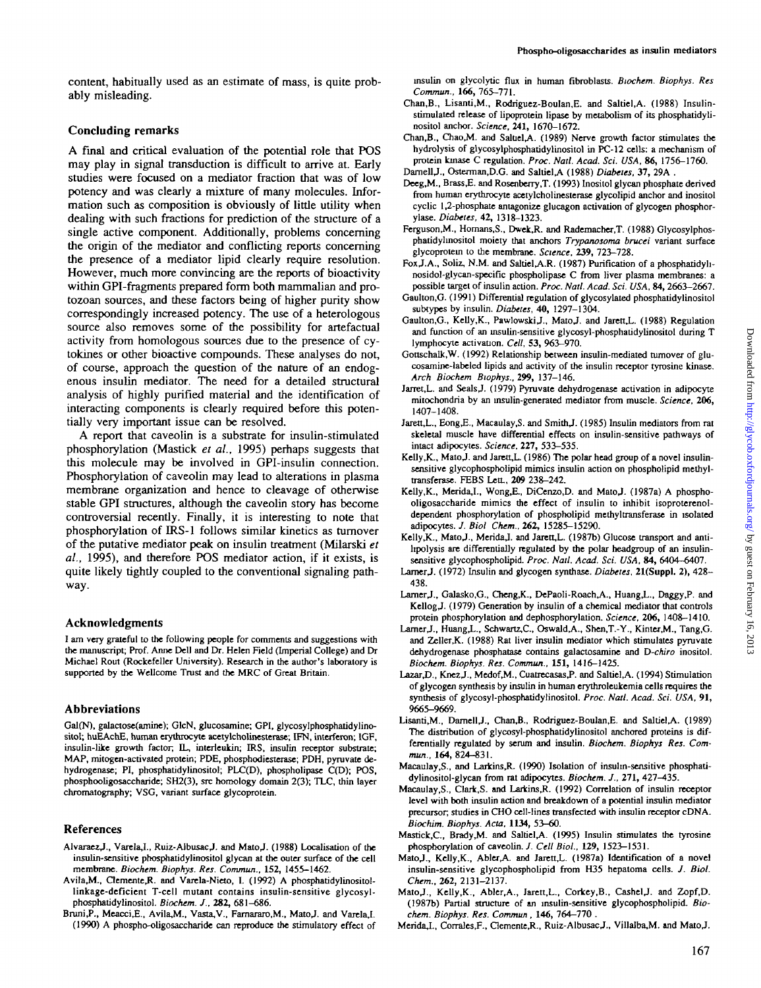content, habitually used as an estimate of mass, is quite probably misleading.

## **Concluding remarks**

A final and critical evaluation of the potential role that POS may play in signal transduction is difficult to arrive at. Early studies were focused on a mediator fraction that was of low potency and was clearly a mixture of many molecules. Information such as composition is obviously of little utility when dealing with such fractions for prediction of the structure of a single active component. Additionally, problems concerning the origin of the mediator and conflicting reports concerning the presence of a mediator lipid clearly require resolution. However, much more convincing are the reports of bioactivity within GPI-fragments prepared form both mammalian and protozoan sources, and these factors being of higher purity show correspondingly increased potency. The use of a heterologous source also removes some of the possibility for artefactual activity from homologous sources due to the presence of cytokines or other bioactive compounds. These analyses do not, of course, approach the question of the nature of an endogenous insulin mediator. The need for a detailed structural analysis of highly purified material and the identification of interacting components is clearly required before this potentially very important issue can be resolved.

A report that caveolin is a substrate for insulin-stimulated phosphorylation (Mastick *et al.,* 1995) perhaps suggests that this molecule may be involved in GPI-insulin connection. Phosphorylation of caveolin may lead to alterations in plasma membrane organization and hence to cleavage of otherwise stable GPI structures, although the caveolin story has become controversial recently. Finally, it is interesting to note that phosphorylation of IRS-1 follows similar kinetics as turnover of the putative mediator peak on insulin treatment (Milarski *et al.,* 1995), and therefore POS mediator action, if it exists, is quite likely tightly coupled to the conventional signaling pathway.

## **Acknowledgments**

I am very grateful to the following people for comments and suggestions with the manuscript; Prof. Anne Dell and Dr. Helen Field (Imperial College) and Dr Michael Rout (Rockefeller University). Research in the author's laboratory is supported by the Wellcome Trust and the MRC of Great Britain.

## **Abbreviations**

Gal(N), galactose(amine); GlcN, glucosamine; GPI, glycosylphosphatidylinositol; huEAchE, human erythrocyte acetylcholinesterase; IFN, interferon; IGF, insulin-like growth factor, IL, interleukin; IRS, insulin receptor substrate; MAP, mitogen-activated protein; PDE, phosphodiesterase; PDH, pyruvate dehydrogenase; PI, phosphatidylinositol; PLC(D), phospholipase C(D); POS, phosphooligosaccharide; SH2(3), src homology domain 2(3); TLC, thin layer chromatography; VSG, variant surface glycoprotein.

## **References**

- Alvaraez, J., Varela, I., Ruiz-Albusac, J. and Mato, J. (1988) Localisation of the insulin-sensitive phosphatidylinositol glycan at the outer surface of the cell membrane. *Biochem. Biophys. Res. Common.,* 152, 1455-1462.
- Avila,M., Clemente,R. and Varela-Nieto, I. (1992) A phosphatidylinositollinkage-deficient T-cell mutant contains insulin-sensitive glycosylphosphatidylinositol. *Biochem. J.,* 282, 681-686.
- Bruni, P., Meacci, E., Avila, M., Vasta, V., Farnararo, M., Mato, J. and Varela, I. (1990) A phospho-oligosaccharide can reproduce the stimulatory effect of

insulin on glycolytic flux in human fibroblasts. *Biochem. Biophys. Res Common.,* 166, 765-771.

- Chan.B., Lisanti.M., Rodriguez-Boulan.E. and Saltiel.A. (1988) Insulinstimulated release of lipoprotein lipase by metabolism of its phosphatidylinositol anchor. *Science,* 241, 1670-1672.
- Chan, B., Chao, M. and Saluel, A. (1989) Nerve growth factor stimulates the hydrolysis of glycosylphosphaudylinositol in PC-12 cells: a mechanism of protein kmase C regulation. *Proc. Nail. Acad. Sci. USA,* 86, 1756-1760.
- Darnell, J., Osterman, D.G. and Saltiel, A (1988) *Diabetes*, 37, 29A.
- Deeg, M., Brass, E. and Rosenberry, T. (1993) Inositol glycan phosphate derived from human erythrocyte acetylcholinesterase glycolipid anchor and inositol cyclic 1,2-phosphate antagonize glucagon activation of glycogen phosphorylase. *Diabetes,* 42, 1318-1323.
- Ferguson, M., Homans, S., Dwek, R. and Rademacher, T. (1988) Glycosylphosphatidylmositol moiety that anchors *Trypanosoma brucei* variant surface glycoprotein to the membrane. *Science,* 239, 723-728.
- FoxJ.A., Soliz, N.M. and Saltiel,A.R. (1987) Purification of a phosphatidylinosidol-glycan-specific phospholipase C from liver plasma membranes: a possible target of insulin action. *Proc. Natl. Acad. Sci. USA,* 84, 2663-2667.
- Gaulton.G. (1991) Differential regulation of glycosylated phosphatidylinositol subtypes by insulin. *Diabetes,* 40, 1297-1304.
- Gaulton, G., Kelly, K., Pawlowski J., Mato J. and Jarett L. (1988) Regulation and function of an insulin-sensitive glycosyl-phosphatidylinositol during T lymphocyte activation. *Cell,* 53, 963-970.
- Gottschalk.W. (1992) Relationship between insulin-mediated turnover of glucosamine-labeled lipids and activity of the insulin receptor tyrosine kinase. *Arch Biochem Biophys.,* 299, 137-146.
- Jarret, L. and Seals, J. (1979) Pyruvate dehydrogenase activation in adipocyte mitochondria by an insulin-generated mediator from muscle. *Science,* 206, 1407-1408.
- Jarett, L., Eong, E., Macaulay, S. and Smith, J. (1985) Insulin mediators from rat skeletal muscle have differential effects on insulin-sensitive pathways of intact adipocytes. *Science,* 227, 533-535.
- Kelly, K., Mato, J. and Jarett, L. (1986) The polar head group of a novel insulinsensitive glycophospholipid mimics insulin action on phospholipid methyltransferase. FEBS Lett., 209 238-242.
- Kelly, K., Merida, I., Wong, E., DiCenzo, D. and Mato, J. (1987a) A phosphooligosaccharide mimics the effect of insulin to inhibit isoproterenoldependent phosphorylation of phospholipid methyltransferase in isolated adipocytes. *J. Biol Chem.,* 262, 15285-15290.
- Kelly, K., Mato, J., Merida, J. and Jarett, L. (1987b) Glucose transport and antihpolysis are differentially regulated by the polar headgroup of an insulinsensitive glycophospholipid. *Proc. Natl. Acad. Sci. USA,* 84, 6404-6407.
- Lamer J. (1972) Insulin and glycogen synthase. *Diabetes,* 21(Suppl. 2), 428- 438.
- Lamer, J., Galasko, G., Cheng, K., DePaoli-Roach, A., Huang, L., Daggy, P. and KellogJ. (1979) Generation by insulin of a chemical mediator that controls protein phosphorylation and dephosphorylation. *Science,* 206, 1408-1410.
- Larner, J., Huang, L., Schwartz, C., Oswald, A., Shen, T.-Y., Kinter, M., Tang, G. and Zeller, K. (1988) Rat liver insulin mediator which stimulates pyruvate dehydrogenase phosphatase contains galactosamine and *D-chiro* inositol. *Biochem. Biophys. Res. Common.,* 151, 1416-1425.
- Lazar, D., Knez, J., Medof, M., Cuatrecasas, P. and Saltiel, A. (1994) Stimulation of glycogen synthesis by insulin in human erythroleukemia cells requires the synthesis of glycosyl-phosphalidylinositol. *Proc. Natl. Acad. Sci. USA,* 91, 9665-9669.
- Lisanti, M., Darnell, J., Chan, B., Rodriguez-Boulan, E. and Saltiel, A. (1989) The distribution of glycosyl-phosphatidylinositol anchored proteins is differentially regulated by serum and insulin. *Biochem. Biophys Res. Com*mun., 164, 824-831.
- Macaulay, S., and Larkins, R. (1990) Isolation of insulin-sensitive phosphatidylinositol-glycan from rat adipocytes. *Biochem. J.,* 271, 427-435.
- Macaulay, S., Clark, S. and Larkins, R. (1992) Correlation of insulin receptor level with both insulin action and breakdown of a potential insulin mediator precursor, studies in CHO cell-lines transfected with insulin receptor cDNA. *Biochim. Biophys. Acta,* 1134, 53-60.
- Mastick, C., Brady, M. and Saltiel, A. (1995) Insulin stimulates the tyrosine phosphorylation of caveolin. /. *Cell Biol.,* 129, 1523-1531.
- Mato,J., Kelly,K., Abler,A. and Jarett,L. (1987a) Identification of a novel insulin-sensitive glycophospholipid from H35 hepatoma cells. /. *Biol. Chem.,262,* 2131-2137.
- MatoJ., Kelly.K., Abler,A., Iarett,L., Corkey.B., CashelJ. and Zopf.D. (1987b) Partial structure of an insulin-sensitive glycophospholipid. *Biochem. Biophys. Res. Common ,* 146, 764-770 .
- Merida, I., Corrales, F., Clemente, R., Ruiz-Albusac, J., Villalba, M. and Mato, J.